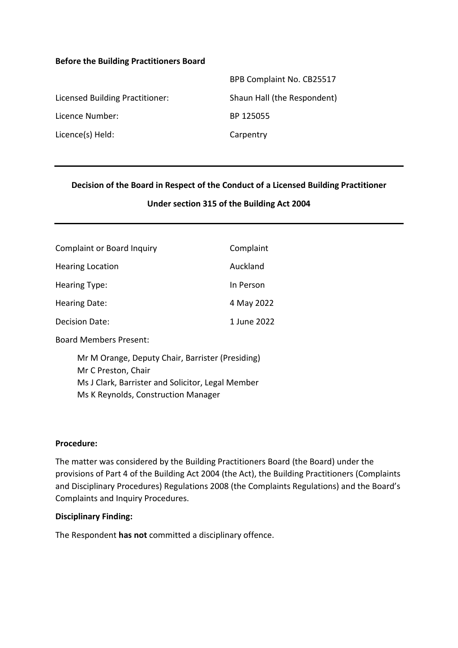#### **Before the Building Practitioners Board**

|                                 | BPB Complaint No. CB25517   |
|---------------------------------|-----------------------------|
| Licensed Building Practitioner: | Shaun Hall (the Respondent) |
| Licence Number:                 | BP 125055                   |
| Licence(s) Held:                | Carpentry                   |

#### **Decision of the Board in Respect of the Conduct of a Licensed Building Practitioner**

#### **Under section 315 of the Building Act 2004**

| <b>Complaint or Board Inquiry</b> | Complaint   |
|-----------------------------------|-------------|
| <b>Hearing Location</b>           | Auckland    |
| Hearing Type:                     | In Person   |
| <b>Hearing Date:</b>              | 4 May 2022  |
| Decision Date:                    | 1 June 2022 |

Board Members Present:

Mr M Orange, Deputy Chair, Barrister (Presiding) Mr C Preston, Chair Ms J Clark, Barrister and Solicitor, Legal Member Ms K Reynolds, Construction Manager

#### **Procedure:**

The matter was considered by the Building Practitioners Board (the Board) under the provisions of Part 4 of the Building Act 2004 (the Act), the Building Practitioners (Complaints and Disciplinary Procedures) Regulations 2008 (the Complaints Regulations) and the Board's Complaints and Inquiry Procedures.

#### **Disciplinary Finding:**

The Respondent **has not** committed a disciplinary offence.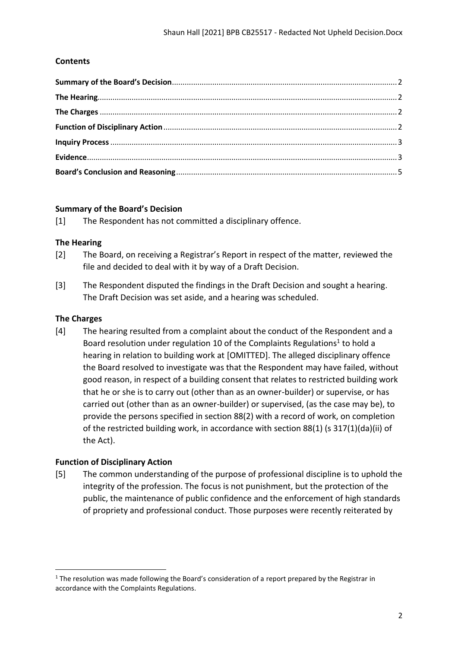# **Contents**

### <span id="page-1-0"></span>**Summary of the Board's Decision**

[1] The Respondent has not committed a disciplinary offence.

#### <span id="page-1-1"></span>**The Hearing**

- [2] The Board, on receiving a Registrar's Report in respect of the matter, reviewed the file and decided to deal with it by way of a Draft Decision.
- [3] The Respondent disputed the findings in the Draft Decision and sought a hearing. The Draft Decision was set aside, and a hearing was scheduled.

### <span id="page-1-2"></span>**The Charges**

[4] The hearing resulted from a complaint about the conduct of the Respondent and a Board resolution under regulation 10 of the Complaints Regulations<sup>1</sup> to hold a hearing in relation to building work at [OMITTED]. The alleged disciplinary offence the Board resolved to investigate was that the Respondent may have failed, without good reason, in respect of a building consent that relates to restricted building work that he or she is to carry out (other than as an owner-builder) or supervise, or has carried out (other than as an owner-builder) or supervised, (as the case may be), to provide the persons specified in section 88(2) with a record of work, on completion of the restricted building work, in accordance with section 88(1) (s 317(1)(da)(ii) of the Act).

### <span id="page-1-3"></span>**Function of Disciplinary Action**

[5] The common understanding of the purpose of professional discipline is to uphold the integrity of the profession. The focus is not punishment, but the protection of the public, the maintenance of public confidence and the enforcement of high standards of propriety and professional conduct. Those purposes were recently reiterated by

 $1$  The resolution was made following the Board's consideration of a report prepared by the Registrar in accordance with the Complaints Regulations.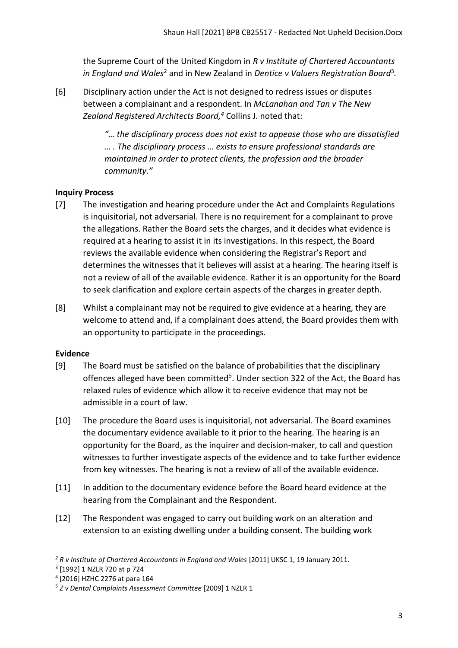the Supreme Court of the United Kingdom in *R v Institute of Chartered Accountants*  in England and Wales<sup>2</sup> and in New Zealand in Dentice v Valuers Registration Board<sup>3</sup>.

[6] Disciplinary action under the Act is not designed to redress issues or disputes between a complainant and a respondent. In *McLanahan and Tan v The New Zealand Registered Architects Board, <sup>4</sup>* Collins J. noted that:

> *"… the disciplinary process does not exist to appease those who are dissatisfied … . The disciplinary process … exists to ensure professional standards are maintained in order to protect clients, the profession and the broader community."*

# <span id="page-2-0"></span>**Inquiry Process**

- [7] The investigation and hearing procedure under the Act and Complaints Regulations is inquisitorial, not adversarial. There is no requirement for a complainant to prove the allegations. Rather the Board sets the charges, and it decides what evidence is required at a hearing to assist it in its investigations. In this respect, the Board reviews the available evidence when considering the Registrar's Report and determines the witnesses that it believes will assist at a hearing. The hearing itself is not a review of all of the available evidence. Rather it is an opportunity for the Board to seek clarification and explore certain aspects of the charges in greater depth.
- [8] Whilst a complainant may not be required to give evidence at a hearing, they are welcome to attend and, if a complainant does attend, the Board provides them with an opportunity to participate in the proceedings.

# <span id="page-2-1"></span>**Evidence**

- [9] The Board must be satisfied on the balance of probabilities that the disciplinary offences alleged have been committed*<sup>5</sup>* . Under section 322 of the Act, the Board has relaxed rules of evidence which allow it to receive evidence that may not be admissible in a court of law.
- [10] The procedure the Board uses is inquisitorial, not adversarial. The Board examines the documentary evidence available to it prior to the hearing. The hearing is an opportunity for the Board, as the inquirer and decision-maker, to call and question witnesses to further investigate aspects of the evidence and to take further evidence from key witnesses. The hearing is not a review of all of the available evidence.
- [11] In addition to the documentary evidence before the Board heard evidence at the hearing from the Complainant and the Respondent.
- [12] The Respondent was engaged to carry out building work on an alteration and extension to an existing dwelling under a building consent. The building work

<sup>&</sup>lt;sup>2</sup> R v Institute of Chartered Accountants in England and Wales [2011] UKSC 1, 19 January 2011.

<sup>3</sup> [1992] 1 NZLR 720 at p 724

<sup>4</sup> [2016] HZHC 2276 at para 164

<sup>5</sup> *Z v Dental Complaints Assessment Committee* [2009] 1 NZLR 1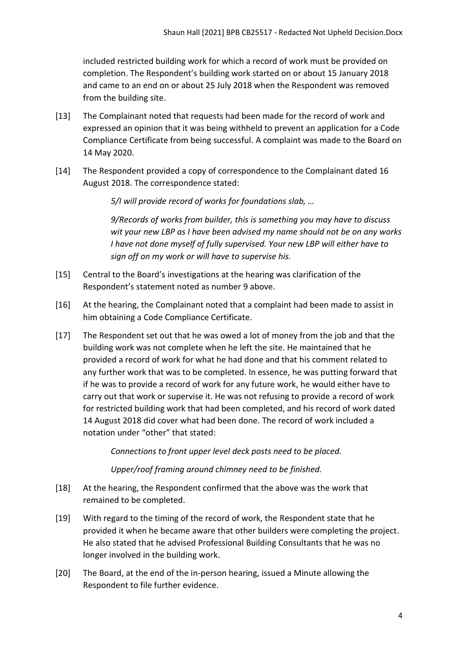included restricted building work for which a record of work must be provided on completion. The Respondent's building work started on or about 15 January 2018 and came to an end on or about 25 July 2018 when the Respondent was removed from the building site.

- [13] The Complainant noted that requests had been made for the record of work and expressed an opinion that it was being withheld to prevent an application for a Code Compliance Certificate from being successful. A complaint was made to the Board on 14 May 2020.
- [14] The Respondent provided a copy of correspondence to the Complainant dated 16 August 2018. The correspondence stated:

*5/I will provide record of works for foundations slab, …*

*9/Records of works from builder, this is something you may have to discuss wit your new LBP as I have been advised my name should not be on any works I have not done myself of fully supervised. Your new LBP will either have to sign off on my work or will have to supervise his.* 

- [15] Central to the Board's investigations at the hearing was clarification of the Respondent's statement noted as number 9 above.
- [16] At the hearing, the Complainant noted that a complaint had been made to assist in him obtaining a Code Compliance Certificate.
- [17] The Respondent set out that he was owed a lot of money from the job and that the building work was not complete when he left the site. He maintained that he provided a record of work for what he had done and that his comment related to any further work that was to be completed. In essence, he was putting forward that if he was to provide a record of work for any future work, he would either have to carry out that work or supervise it. He was not refusing to provide a record of work for restricted building work that had been completed, and his record of work dated 14 August 2018 did cover what had been done. The record of work included a notation under "other" that stated:

*Connections to front upper level deck posts need to be placed.* 

*Upper/roof framing around chimney need to be finished.* 

- [18] At the hearing, the Respondent confirmed that the above was the work that remained to be completed.
- [19] With regard to the timing of the record of work, the Respondent state that he provided it when he became aware that other builders were completing the project. He also stated that he advised Professional Building Consultants that he was no longer involved in the building work.
- [20] The Board, at the end of the in-person hearing, issued a Minute allowing the Respondent to file further evidence.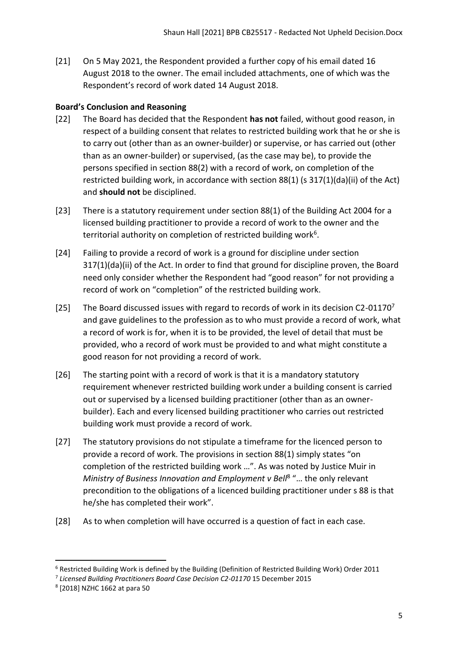[21] On 5 May 2021, the Respondent provided a further copy of his email dated 16 August 2018 to the owner. The email included attachments, one of which was the Respondent's record of work dated 14 August 2018.

# <span id="page-4-0"></span>**Board's Conclusion and Reasoning**

- [22] The Board has decided that the Respondent **has not** failed, without good reason, in respect of a building consent that relates to restricted building work that he or she is to carry out (other than as an owner-builder) or supervise, or has carried out (other than as an owner-builder) or supervised, (as the case may be), to provide the persons specified in section 88(2) with a record of work, on completion of the restricted building work, in accordance with section 88(1) (s 317(1)(da)(ii) of the Act) and **should not** be disciplined.
- [23] There is a statutory requirement under section 88(1) of the Building Act 2004 for a licensed building practitioner to provide a record of work to the owner and the territorial authority on completion of restricted building work<sup>6</sup>.
- [24] Failing to provide a record of work is a ground for discipline under section 317(1)(da)(ii) of the Act. In order to find that ground for discipline proven, the Board need only consider whether the Respondent had "good reason" for not providing a record of work on "completion" of the restricted building work.
- [25] The Board discussed issues with regard to records of work in its decision C2-01170<sup>7</sup> and gave guidelines to the profession as to who must provide a record of work, what a record of work is for, when it is to be provided, the level of detail that must be provided, who a record of work must be provided to and what might constitute a good reason for not providing a record of work.
- [26] The starting point with a record of work is that it is a mandatory statutory requirement whenever restricted building work under a building consent is carried out or supervised by a licensed building practitioner (other than as an ownerbuilder). Each and every licensed building practitioner who carries out restricted building work must provide a record of work.
- [27] The statutory provisions do not stipulate a timeframe for the licenced person to provide a record of work. The provisions in section 88(1) simply states "on completion of the restricted building work …". As was noted by Justice Muir in Ministry of Business Innovation and Employment v Bell<sup>8</sup> "... the only relevant precondition to the obligations of a licenced building practitioner under s 88 is that he/she has completed their work".
- [28] As to when completion will have occurred is a question of fact in each case.

<sup>6</sup> Restricted Building Work is defined by the Building (Definition of Restricted Building Work) Order 2011

<sup>&</sup>lt;sup>7</sup> Licensed Building Practitioners Board Case Decision C2-01170 15 December 2015

<sup>8</sup> [2018] NZHC 1662 at para 50